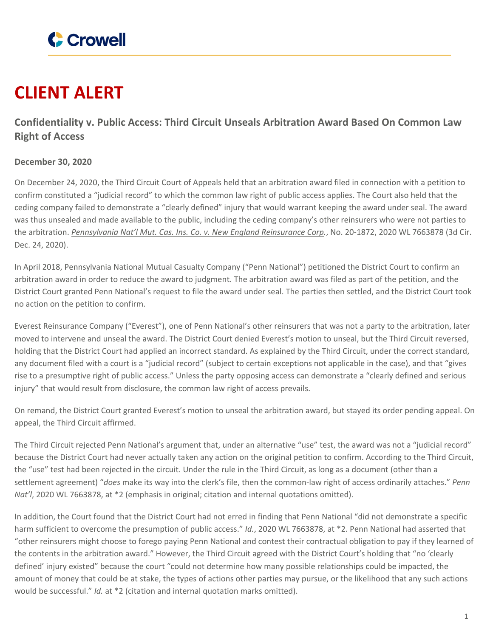

## **CLIENT ALERT**

## **Confidentiality v. Public Access: Third Circuit Unseals Arbitration Award Based On Common Law Right of Access**

## **December 30, 2020**

On December 24, 2020, the Third Circuit Court of Appeals held that an arbitration award filed in connection with a petition to confirm constituted a "judicial record" to which the common law right of public access applies. The Court also held that the ceding company failed to demonstrate a "clearly defined" injury that would warrant keeping the award under seal. The award was thus unsealed and made available to the public, including the ceding company's other reinsurers who were not parties to the arbitration. *[Pennsylvania](https://www.crowell.com/files/20201224-Pennsylvania-National-Mutual-Casualty-v-New-England-Hartford-Everest.pdf) Nat'l Mut. Cas. Ins. Co. v. New England Reinsurance Corp.*, No. 20-1872, 2020 WL 7663878 (3d Cir. Dec. 24, 2020).

In April 2018, Pennsylvania National Mutual Casualty Company ("Penn National") petitioned the District Court to confirm an arbitration award in order to reduce the award to judgment. The arbitration award was filed as part of the petition, and the District Court granted Penn National's request to file the award under seal. The parties then settled, and the District Court took no action on the petition to confirm.

Everest Reinsurance Company ("Everest"), one of Penn National's other reinsurers that was not a party to the arbitration, later moved to intervene and unseal the award. The District Court denied Everest's motion to unseal, but the Third Circuit reversed, holding that the District Court had applied an incorrect standard. As explained by the Third Circuit, under the correct standard, any document filed with a court is a "judicial record" (subject to certain exceptions not applicable in the case), and that "gives rise to a presumptive right of public access." Unless the party opposing access can demonstrate a "clearly defined and serious injury" that would result from disclosure, the common law right of access prevails.

On remand, the District Court granted Everest's motion to unseal the arbitration award, but stayed its order pending appeal. On appeal, the Third Circuit affirmed.

The Third Circuit rejected Penn National's argument that, under an alternative "use" test, the award was not a "judicial record" because the District Court had never actually taken any action on the original petition to confirm. According to the Third Circuit, the "use" test had been rejected in the circuit. Under the rule in the Third Circuit, as long as a document (other than a settlement agreement) "*does* make its way into the clerk's file, then the common-law right of access ordinarily attaches." *Penn Nat'l*, 2020 WL 7663878, at \*2 (emphasis in original; citation and internal quotations omitted).

In addition, the Court found that the District Court had not erred in finding that Penn National "did not demonstrate a specific harm sufficient to overcome the presumption of public access." *Id.*, 2020 WL 7663878, at \*2. Penn National had asserted that "other reinsurers might choose to forego paying Penn National and contest their contractual obligation to pay if they learned of the contents in the arbitration award." However, the Third Circuit agreed with the District Court's holding that "no 'clearly defined' injury existed" because the court "could not determine how many possible relationships could be impacted, the amount of money that could be at stake, the types of actions other parties may pursue, or the likelihood that any such actions would be successful." *Id.* at \*2 (citation and internal quotation marks omitted).